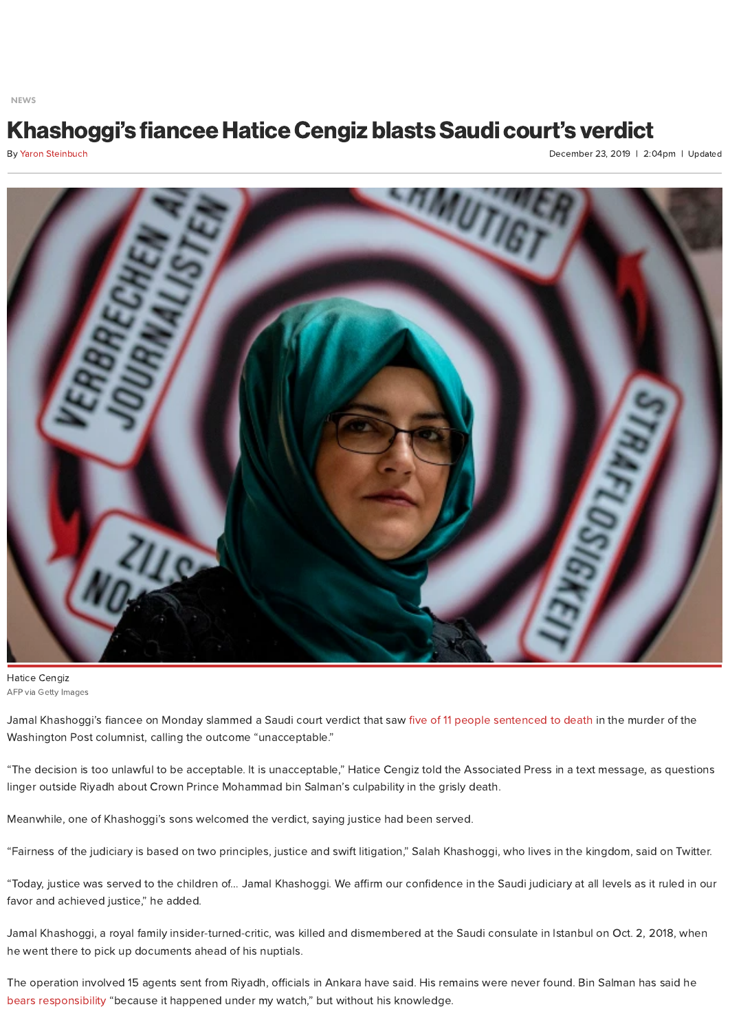[NEWS](https://nypost.com/news/)

## Khashoggi's fiancee Hatice Cengiz blasts Saudi court's verdict

By Yaron [Steinbuch](https://nypost.com/author/yaron-steinbuch/)

December 23, 2019 | 2:04pm | Updated



AFP via Getty Images Hatice Cengiz

Jamal Khashoggi's fiancee on Monday slammed a Saudi court verdict that saw five of 11 people [sentenced](https://nypost.com/2019/12/23/saudi-arabia-sentences-5-to-death-for-jamal-khashoggis-killing/) to death in the murder of the Washington Post columnist, calling the outcome "unacceptable."

"The decision is too unlawful to be acceptable. It is unacceptable," Hatice Cengiz told the Associated Press in a text message, as questions linger outside Riyadh about Crown Prince Mohammad bin Salman's culpability in the grisly death.

Meanwhile, one of Khashoggi's sons welcomed the verdict, saying justice had been served.

"Fairness of the judiciary is based on two principles, justice and swift litigation," Salah Khashoggi, who lives in the kingdom, said on Twitter.

"Today, justice was served to the children of... Jamal Khashoggi. We affirm our confidence in the Saudi judiciary at all levels as it ruled in our favor and achieved justice," he added.

Jamal Khashoggi, a royal family insider-turned-critic, was killed and dismembered at the Saudi consulate in Istanbul on Oct. 2, 2018, when he went there to pick up documents ahead of his nuptials.

The operation involved 15 agents sent from Riyadh, officials in Ankara have said. His remains were never found. Bin Salman has said he bears [responsibility](https://nypost.com/2019/09/26/mohammad-bin-salman-khashoggi-murder-happened-under-my-watch/) "because it happened under my watch," but without his knowledge.